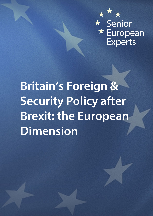

# **Britain's Foreign & Security Policy after Brexit: the European Dimension**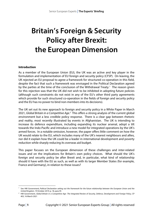## **Britain's Foreign & Security Policy after Brexit: the European Dimension**

#### **Introduction**

As a member of the European Union (EU), the UK was an active and key player in the formulation and implementation of EU foreign and security policy (CFSP). On leaving, the UK rejected an EU proposal to agree a framework for structured co-operation in this field, despite the fact that such a framework was envisaged in the Political Declaration agreed by the parties at the time of the conclusion of the Withdrawal Treaty.<sup>[1](#page-2-0)</sup> The reason given for this rejection was that the UK did not wish to be inhibited in adopting future policies (although such constraints do not exist in any of the EU's other third party agreements which provide for such structured co-operation in the fields of foreign and security policy and the EU has no power to bind non-members into its decisions).

The UK set out its new approach to foreign and security policy in a White Paper in March [2](#page-2-1)021, Global Britain in a Competitive Age.<sup>2</sup> This offers a strong analysis of the current global environment but a less credible policy response. There is a clear gap between rhetoric and reality, most recently illustrated by events in Afghanistan. The UK is intending to increase its defence expenditure, including expanding its nuclear arsenal, adopt a tilt towards the Indo-Pacific and introduce a new model for integrated operations by the UK's armed forces. In a notable omission, however, the paper offers little comment on how the UK would relate to the EU, which includes many of the UK's nearest neighbours and allies, nor did it explain how the UK could be a leader in international development and poverty reduction while sharply reducing its overseas aid budget.

This paper focuses on the European dimension of these challenges and inter-related issues and on the implications for Britain's own policy choices. What should the UK's foreign and security policy be after Brexit and, in particular, what kind of relationship should it have with the EU as such, as well as with its larger Member States (for example, France and Germany), in relation to these issues?

<u>.</u>

<span id="page-2-0"></span><sup>1</sup> See HM Government, *[Political Declaration setting out the framework for the future relationship between the European Union and the](https://www.gov.uk/government/publications/new-withdrawal-agreement-and-political-declaration)  [United Kingdom](https://www.gov.uk/government/publications/new-withdrawal-agreement-and-political-declaration)*, 19 October 2019, p. 18, para 95

<span id="page-2-1"></span><sup>2</sup> HM Government, *Global Britain in a Competitive Age: [The Integrated Review of Security, Defence, Development and Foreign Policy](https://www.gov.uk/government/publications/global-britain-in-a-competitive-age-the-integrated-review-of-security-defence-development-and-foreign-policy)*, CP 403, 16 March 2021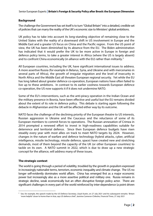Senior European Experts **| Britain's Foreign & Security Policy after Brexit: the European Dimension**

#### **Background**

The challenge the Government has set itself is to turn "Global Britain" into a detailed, credible set of policies that can marry the reality of the UK's economic size to Ministers' global ambitions.

UK policy has to take into account its long-standing objective of remaining close to the United States with the reality of a downward shift in US involvement in Europe and the Middle East and a greater US focus on China and the Pacific region. From the US point of view, the UK has been diminished by its absence from the EU. The Biden administration has indicated that it would prefer the UK to be more active in Europe in foreign and defence policy terms, to take a greater interest in Africa (where the US is largely absent) and to confront China economically (in alliance with the EU) rather than militarily.<sup>[3](#page-3-0)</sup>

All European countries, including the UK, have significant international issues to address. A more assertive Russia (for example in Belarus, Syria, and Ukraine and with mercenaries in several parts of Africa), the growth of irregular migration and the level of insecurity in North Africa and the Middle East all threaten European regional security. Yet while the EU has long talked about greater defence co-operation, European nations have often failed to live up to these ambitions. In contrast to its earlier coolness towards European defence co-operation, the US now supports it if it does not undermine NATO.

Some of the EU's interventions, such as the anti-piracy operation in the Indian Ocean and the military presence in Bosnia, have been effective and useful but the EU remains divided about the extent of its role in defence policy. This debate is starting again following the debacle in Afghanistan and the UK will be affected either way by its outcome.

NATO faces the challenge of the declining priority of the European theatre to US interests, Russian aggression in Ukraine and the Caucasus and the reluctance of some of its European members to commit forces to operations. The Russian annexation of Crimea in 2014 prompted a renewed effort to invest in high-readiness capabilities suitable for deterrence and territorial defence. Since then European defence budgets have risen steadily every year with most allies on track to meet NATO targets by 2024. However, changes in the nature of warfare and defence technology (hybrid attacks, cyber, artificial intelligence, missile technology, missile defence, space) have created new and stretching demands, most of them beyond the capacity of the UK (or other European countries) to tackle on its own. A NATO summit in 2022, which is due to draw up a new strategic concept for the alliance, will address many of these issues.

#### **The strategic context**

**.** 

The world is going through a period of volatility, troubled by the growth in populism expressed in increasingly nationalist terms, terrorism, economic inequality and climate change. The US no longer self-evidently dominates world affairs. China has emerged first as a major economic power but increasingly also as a more assertive political and military one. Russia remains in strategic decline, weak economically but an often disruptive foreign policy actor. There are significant challenges in every part of the world reinforced by inter-dependence (a point driven

<span id="page-3-0"></span><sup>&</sup>lt;sup>3</sup> See, for example, the speech made by the US Defence Secretary, Lloyd Austin, on 27 July 2021 and his subsequent remarks: 'Britain ['more helpful' closer to home than in Asia, says US defence chief',](https://www.ft.com/content/7fb26630-a96a-4dfd-935c-9a7acb074304) Jasmine Cameron-Chileshe, *Financial Times*, 27 July 2021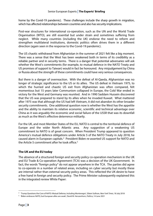home by the Covid-19 pandemic). These challenges include the sharp growth in migration, which has affected relationships between countries and also has security implications.

Post-war structures for international co-operation, such as the UN and the World Trade Organisation (WTO), are still essential but under strain and sometimes suffering from neglect. While many countries (including the UK) endorse the need to reform and strengthen multilateral institutions, domestic politics often drives them in a different direction (again seen in the response to the Covid-19 pandemic).

The US chaotic withdrawal from Afghanistan in the summer of 2021 felt like a big moment. There was a sense that the West has been weakened both in terms of its credibility as a reliable partner and in security terms. There is a danger that potential adversaries will ask whether the West's commitments (for example, to mutual defence in the NATO Treaty and US promises of support to Taiwan) would in fact be honoured. Any misjudgement by China or Russia about the strength of these commitments could have very serious consequences.

But there is a danger of overreaction. With the defeat of Al-Qaeda, Afghanistan was no longer of strategic significance to the US or its allies. The US defeat in Vietnam 1975, to which the hurried and chaotic US exit from Afghanistan was often compared, felt momentous but 15 years later Communism collapsed in Europe, the Cold War ended in victory for the West and Germany was reunited. And in 1990 Saddam Hussein discovered that the US was prepared to stand by its allies when he invaded Kuwait. What mattered after 1975 was that although the US had left Vietnam, it did not abandon its other broader security commitments. One additional question now is whether the West has the appetite and the ability to maintain its relative economic, scientific and technical advantage over China as it was arguably the economic and social failure of the USSR that was its downfall as much as the West's effective deterrence militarily.

For the UK, and most Member States of the EU, NATO is central to the territorial defence of Europe and the wider North Atlantic area. Any suggestion of a weakening US commitment to NATO is of great concern. When President Trump appeared to question America's mutual defence obligations under Article 5 of the NATO Treaty in July 2018, he caused alarm in European capitals.<sup>[4](#page-4-0)</sup> President Biden re-asserted US support for NATO and the Article [5](#page-4-1) commitment after he took office.<sup>5</sup>

#### **The UK and the EU today**

The absence of a structured foreign and security policy co-operation mechanism in the UK and EU Trade & Co-operation Agreement (TCA) was a decision of the UK Government. In fact, the words "foreign policy" do not appear anywhere in the TCA. The parties did agree to co-operate in a number of related areas, including on cyber security but mostly these are internal rather than external security policy areas. This reflected the UK desire to have a free hand in foreign and security policy. The Prime Minister subsequently explained this in the integrated review White Paper:

 $\overline{a}$ 

<span id="page-4-0"></span><sup>4</sup> 'Trump Questions [the Core of NATO: Mutual Defense, Including Montenegro',](https://www.nytimes.com/2018/07/18/world/europe/trump-nato-self-defense-montenegro.html) Eileen Sullivan, *New York Times*, 18 July 2018

<span id="page-4-1"></span><sup>5</sup> ['Biden embraces NATO, but European](https://www.politico.eu/article/us-president-joe-biden-embraces-nato-but-european-allies-are-weak/) allies are weak', David M. Herszenhorn, *Politico*, 14 June 2021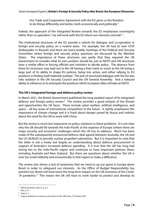Our Trade and Cooperation Agreement with the EU gives us the freedom to do things differently and better, both economically and politically.<sup>[6](#page-5-0)</sup>

Indeed, the approach of the Integrated Review towards the EU emphasises sovereignty rather than co-operation: "we will work with the EU where our interests coincide".[7](#page-5-1)

The institutional structures of the EU provide a vehicle for dialogue and co-operation in foreign and security policy on a routine basis. For example, the UK had its own CFSP Ambassador in Brussels and there are twice-weekly meetings of the Political and Security Committee where foreign and security policy questions are discussed by the Member States. The importance of these structures was partly that they required the UK Government to consider what its own position should be, just as NATO and UN structures have a similar effect in forcing officials and ministers to decide policy. The absence from these EU structures may lead not to the UK having a freer hand so much as the UK losing a large part of its ability to shape EU policies, being less active, and either rallying to EU positions or finding itself relatively isolated. The lack of structured dialogue with the EU also risks isolation in the UN Security Council and the UN General Assembly. And a reduced ability to influence or to anticipate the positions which European allies will take at NATO.

#### **The UK's integrated foreign and defence policy review**

In March 2021, the British Government published the long-awaited report of its integrated defence and foreign policy review.<sup>[8](#page-5-2)</sup> The review provides a good analysis of the threats and opportunities the UK faces. These include cyber warfare, artificial intelligence, and space – all key areas of international competition in the future. It rightly emphasises the importance of climate change and it is frank about danger posed by Russia and realistic about the need for the UK to work with China.

But the review is much less impressive on policy solutions to these problems. It is not clear why the UK should tilt towards the Indo-Pacific at the expense of Europe (where there are major security and economic challenges which the UK has to address). Much has been made of the subsequently announced defence deal agreed between Australia, the UK and the US (AUKUS) to provide nuclear propelled submarines. But it is important to note that the latter is not a treaty but largely an understanding about defence procurement in support of Australia's increased defence spending. It is true that the UK has long had strong ties to the Indo-Pacific region and continues to have important partners there, including Australia and New Zealand. But there are questions about whether the UK is now too small militarily and economically in that region to make a difference.

The review also shows a lack of awareness that we need to up our game in Europe given Brexit in order to safeguard our interests. As the Office of Budget Responsibility has pointed out, Brexit will have twice the long-term impact on the UK economy of the Covid-1[9](#page-5-3) pandemic.<sup>9</sup> This means the UK will have to work harder to protect and develop its

**.** 

<span id="page-5-0"></span><sup>&</sup>lt;sup>6</sup> HM Government, *supra* n. 2, p. 3<br><sup>7</sup> Jhid n. 21

<span id="page-5-1"></span>*Ibid.*, p. 21

<span id="page-5-2"></span><sup>8</sup>  *Supra* n. 2

<span id="page-5-3"></span><sup>9</sup> ['Impact of Brexit on economy 'worse than Covid'',](https://www.bbc.co.uk/news/business-59070020) *BBC News*, 27 October 2021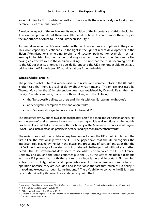economic ties to EU countries as well as to work with them effectively on foreign and defence issues of mutual concern.

A welcome aspect of the review was its recognition of the importance of Africa (including its economic potential) but there was little detail on how UK can do more there despite the importance of Africa to UK and European security.[10](#page-6-0)

An overreliance on the UK's relationship with the US underpins assumptions in the paper. This looks especially questionable in the light in the light of recent developments in the Biden Administration's emerging foreign and security policies (for example, not just leaving Afghanistan but the manner of doing so without the UK or other European allies having an effective role in the decision-making). It is not that the US is becoming hostile to the UK but that its priorities lie outside Europe and the UK is no longer able to act as a bridge into the EU, a role past US administrations found valuable.

#### **What is Global Britain?**

The phrase "Global Britain" is widely used by ministers and commentators in the UK but it is often said that there is a lack of clarity about what it means. The phrase, first used by Theresa May after the 2016 referendum, was later explained by Dominic Raab, the-then Foreign Secretary, as being made up of three pillars, with the UK being:

- the "best possible allies, partners and friends with our European neighbours";
- an "energetic champion of free and open trade";
- and "an even stronger force for good in the world".<sup>[11](#page-6-1)</sup>

The integrated review added two additional points: "a shift to a more robust position on security and deterrence" and a renewed emphasis on seeking multilateral solutions to the world's problems. It also added a comment with which many of the Government's critics would agree: "What Global Britain means in practice is best defined by actions rather than words".<sup>[12](#page-6-2)</sup>

The review does not offer a detailed explanation as to how the UK should implement the first pillar, the relationship with the EU. The paper says that the UK "recognises the important role played by the EU in the peace and prosperity of Europe" and adds that the UK "will find new ways of working with it on shared challenges" but without any further detail. The UK Government does seem to see what is often called the E3 (i.e. France, Germany and UK) and the same countries plus the US as the way to maintain a dialogue with key EU powers but both these forums exclude large and important EU member states, such as Italy, Poland and Spain, who resent these alternative forums for cooperation because they are excluded and it overlooks the fact that much of EU policy is shaped and executed through its institutions.<sup>[13](#page-6-3)</sup> The UK's ability to convene the E3 is in any case undermined by its current poor relationship with the EU.

<u>.</u>

<sup>&</sup>lt;sup>10</sup> Jose Ignacio Torreblanca[, 'Home alone: The UK's foreign policy after Brexit',](https://ecfr.eu/article/home-alone-the-uks-foreign-policy-after-brexit/) European Council on Foreign Relations, 18 May 2021

<span id="page-6-1"></span><span id="page-6-0"></span><sup>11</sup> [HC Deb 3 February 2020, vol 671, cols 26-27](https://hansard.parliament.uk/commons/2020-02-03/debates/2002039000001/GlobalBritain)

<span id="page-6-2"></span><sup>12</sup> HM Government, *supra* n. 2, p. 14, paras 17-19

<span id="page-6-3"></span><sup>&</sup>lt;sup>13</sup> Discussed in Claudia Major & Nicolai von Ondarza, ['UK-EU cooperation in foreign and security policy: how to be friends again!',](https://ukandeu.ac.uk/policy-cooperation/) UK in a Changing Europe, 14 June 2021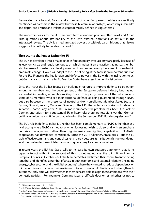France, Germany, Ireland, Poland and a number of other European countries are specifically mentioned as partners in the review but these bilateral relationships, which vary in breadth and depth, are (France and Ireland excepted) mostly defined in vague terms.<sup>[14](#page-7-0)</sup>

The uncertainties as to the UK's medium-term economic position after Brexit and Covid raise questions about affordability of the UK's external ambitions as set out in the integrated review. The UK is a medium-sized power but with global ambitions that history suggests it is unlikely to be able to afford.<sup>15</sup>

#### **The security challenges facing the EU**

The EU has developed into a major actor in foreign policy over last 30 years, partly because of its economic size and regulatory outreach, which makes it an attractive trading partner, but also because of its extensive development work and more recently because of its leadership on climate change. How it will adapt to the UK not being at the table is an important question for the EU. France is the key foreign and defence power in the EU with the inclination to act but Germany and many smaller EU Member States have a less interventionist culture.

Since the 1990s the EU has focused on building structures to improve defence co-operation among its members and the development of the European defence industry but has not succeeded in creating a credible military force. This partly because of the reluctance of some of its members who see their territorial defence as being guaranteed through NATO but also because of the presence of neutral and/or non-aligned Member States (Austria, Cyprus, Finland, Ireland, Malta and Sweden). The UK often acted as a brake on EU defence initiatives, particularly after 2010. A more fundamental problem has been the lack of German enthusiasm for a substantial EU military role; there are few signs yet that German political opinion may shift far on that following the September 2021 Bundestag election.<sup>16</sup>

The EU's role in defence policy is one that has been complementary to NATO rather than as a rival, acting where NATO cannot act or when it does not wish to do so, and with an emphasis on crisis management rather than high-intensity war-fighting capabilities. EU-NATO cooperation has developed considerably since the 2014 Ukraine/Crimea crisis. But the EU lacks effective command and control systems, partly because its institutional structures do not lend themselves to the rapid decision-making necessary for combat missions.

In recent years the EU has faced calls to increase its own strategic autonomy, that is, its capacity to act without the support of third countries, notably the US. At an informal European Council in October 2021, the Member States reaffirmed their commitment to acting together and identified a number of areas in both economic and external relations (including energy, cyber security and the digital economy) where they wanted to reduce dependency on third countries and increase their resilience.<sup>17</sup> As with previous EU initiatives to strengthen its autonomy, only time will tell whether its members are able to align these ambitions with their domestic policies. For example, Germany faces a difficult decision as whether or not to

**.** 

<span id="page-7-0"></span><sup>14</sup> HM Government, *supra* n. 2, pp. 60-61

<span id="page-7-1"></span><sup>15</sup> Nick Witney[, 'Britain's global pipe dream',](https://ecfr.eu/article/britains-global-pipe-dream/) European Council on Foreign Relations, 19 March 2021

<span id="page-7-2"></span><sup>&</sup>lt;sup>16</sup> Ulrike Franke[, 'Foreign and defence policy in the German election',](https://ecfr.eu/article/foreign-and-defence-policy-in-the-german-election/) European Council on Foreign Relations, 16 September 2021

<span id="page-7-3"></span><sup>17</sup> European Council, *[Oral conclusions drawn by President Charles Michel following the informal meeting of the members of the European](https://www.consilium.europa.eu/en/press/press-releases/2021/10/06/oral-conclusions-drawn-by-president-charles-michel-following-the-informal-meeting-of-the-members-of-the-european-council-in-brdo-pri-kranju-slovenia/)  [Council in Brdo pri Kranju, Slovenia](https://www.consilium.europa.eu/en/press/press-releases/2021/10/06/oral-conclusions-drawn-by-president-charles-michel-following-the-informal-meeting-of-the-members-of-the-european-council-in-brdo-pri-kranju-slovenia/)*, 742/21, 6 October 2021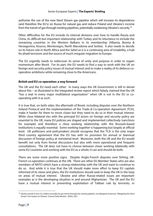authorise the use of the new Nord Stream gas pipeline which will increase its dependence (and therefore the EU's) on Russia for natural gas and reduce Poland and Ukraine's income from the transit of gas through existing pipelines, potentially weakening Ukraine's security.[18](#page-8-0)

Other difficulties for the EU include its internal divisions over how to handle Russia and China, its difficult but important relationship with Turkey and its reluctance to include the remaining countries in the Western Balkans in its membership (Albania, Bosnia & Herzegovina, Kosovo, Montenegro, North Macedonia and Serbia). It also needs to decide on its future role in North Africa and the Sahel as it is a continuing area of instability, a hub for jihadi terrorism and the source of much irregular migration to Europe.

The EU urgently needs to rediscover its sense of unity and purpose in order to regain momentum after Brexit. For its part, the EU needs to find a way to work with the UK on foreign and security policy issues of mutual interest and to make a reality of its defence cooperation ambitions while remaining close to the Americans.

#### **British and EU co-operation: a way forward**

The UK and the EU need each other. In many ways the UK Government is still in denial about this – as illustrated in the integrated review report which falsely claimed that the UK "has a seat in every major multilateral organisation" when UK is not in the EU or cooperating with it as such.

It is true that, on both sides, the aftermath of Brexit, including disputes over the Northern Ireland Protocol and the implementation of the Trade & Co-operation Agreement (TCA), make it harder for them to move closer but they need to do so in their mutual interest. While close bilateral ties with the principal EU actors on foreign and security policy are essential to the UK, many EU policies are shaped and implemented collectively (sanctions for example) and therefore a close working relationship with the Brussels-based institutions is equally essential. Some working together is happening but largely at official level. UK politicians and policymakers should recognise that the TCA is the only major third country agreement that the EU has with no provision for annual or biannual discussion of foreign policy at ministerial level. Moreover, both the UK and the EU would benefit not only from formal discussions but also with more operational and frequent consultations. The UK does not have to choose between closer working bilaterally with some EU countries and working with the EU as a whole; it can and should do both.

There are some more positive signs. Despite Anglo-French disputes over fishing, UK-French co-operation continues at the UN. There are other EU Member States who are also members of NATO which have a strong relationship with the UK and want to continue to do so. And while it is true that the UK should make more effort to keep EU capitals informed of its views and plans, the EU institutions should seek to keep the UK in the loop on areas of mutual interest. Ukraine and other Russia-related issues are important examples as is the developing situation in and around Afghanistan. The UK and the EU have a mutual interest in preventing exploitation of Taliban rule by terrorists, in

**.** 

<span id="page-8-0"></span><sup>&</sup>lt;sup>18</sup> Ukraine stands to lose \$2.5 billion annually for gas transit through the existing pipeline: see Margarita Assenova, 'Mitigating the Nord [Stream Two Impact on Ukraine',](https://jamestown.org/program/mitigating-the-nord-stream-2-impact-on-ukraine/) Eurasia Daily Monitor, 18(93), 2021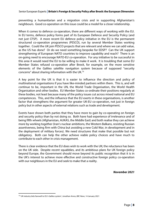preventing a humanitarian and a migration crisis and in supporting Afghanistan's neighbours. Good co-operation on this issue could be a model for a closer relationship.

When it comes to defence co-operation, there are different ways of working with the EU. In EU terms, defence policy forms part of its European Defence and Security Policy (and not just CFSP). A more recent EU defence policy initiative in the EU is the permanent structured co-operation programmes (PESCO), run by several Member States working together. Could the UK join PESCO projects that are relevant and where we can add value, as the US has done? Or do we need something bespoke for EDSP? Can the UK support strengthening of European NATO countries to improve capability and reach? There is an on-going need to encourage NATO-EU co-operation. For any initiative to be successful in this area it would need the EU to be willing to make it work. It is troubling that some EU Member States refused co-operation after Brexit, for example, on the more sensitive elements of the Galileo satellite navigation system because of supposed "security concerns" about sharing information with the UK.[19](#page-9-0)

A key point for the UK is that it is easier to influence the direction and policy of multinational organisations if you have like-minded partners within them. This is, and will continue to be, important in the UN, the World Trade Organisation, the World Health Organisation and other bodies. EU Member States co-ordinate their positions regularly at these bodies, not least because many of the policy issues cut across mixed national and EU competences. This, and the influence that the EU exerts in these organisations, is another factor that strengthens the argument for greater UK-EU co-operation, not just in foreign policy but in other aspects of external relations such as trade and development.

Events have shown both parties that they have more to gain by co-operating on foreign and security policy than by not doing so. Both have had experience of irrelevance and of being fifth wheels (Afghanistan, AUKAS, the Middle East) and both realise they can achieve more by working together (Iran's nuclear ambitions, the Western Balkans, resisting Russian assertiveness, being firm with China but avoiding a new Cold War, in development and in the deployment of military forces). We need structures that make that possible but not obligatory. Both can help the other achieve viable policy choices and have much to contribute to each other in crisis management.

There is clear evidence that the EU does wish to work with the UK; the reluctance has been on the UK side. Despite recent squabbles, and its ambitious plans for UK foreign policy beyond Europe, the Government should move beyond its public recognition that it is in the UK's interest to achieve more effective and constructive foreign policy co-operation with our neighbours in the EU and seek to make that a reality.

*November 2021*

<u>.</u>

<span id="page-9-0"></span><sup>19</sup> ['UK industry bids farewell to EU's Galileo system',](https://www.bbc.co.uk/news/science-environment-55665537) Jonathan Amos, *BBC News*, 14 January 2021